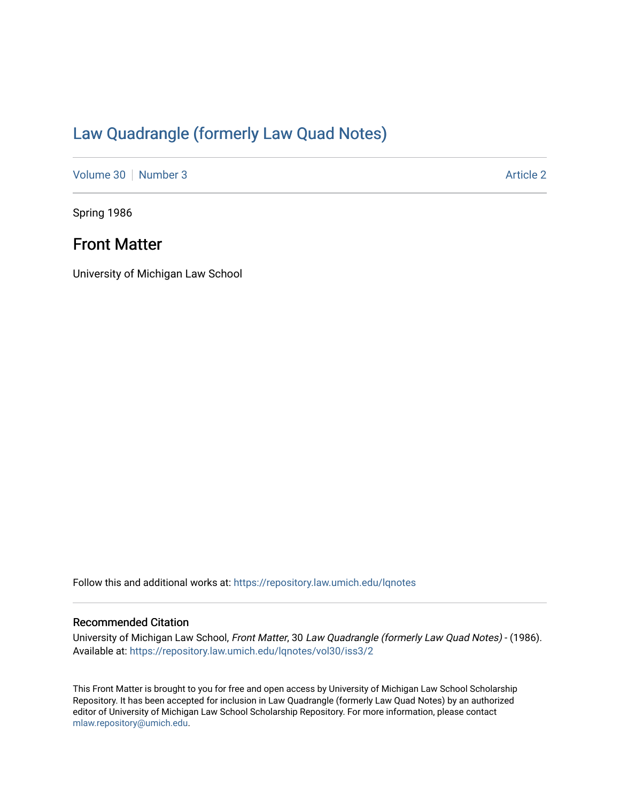# [Law Quadrangle \(formerly Law Quad Notes\)](https://repository.law.umich.edu/lqnotes)

[Volume 30](https://repository.law.umich.edu/lqnotes/vol30) [Number 3](https://repository.law.umich.edu/lqnotes/vol30/iss3) Article 2

Spring 1986

## Front Matter

University of Michigan Law School

Follow this and additional works at: [https://repository.law.umich.edu/lqnotes](https://repository.law.umich.edu/lqnotes?utm_source=repository.law.umich.edu%2Flqnotes%2Fvol30%2Fiss3%2F2&utm_medium=PDF&utm_campaign=PDFCoverPages) 

## Recommended Citation

University of Michigan Law School, Front Matter, 30 Law Quadrangle (formerly Law Quad Notes) - (1986). Available at: [https://repository.law.umich.edu/lqnotes/vol30/iss3/2](https://repository.law.umich.edu/lqnotes/vol30/iss3/2?utm_source=repository.law.umich.edu%2Flqnotes%2Fvol30%2Fiss3%2F2&utm_medium=PDF&utm_campaign=PDFCoverPages) 

This Front Matter is brought to you for free and open access by University of Michigan Law School Scholarship Repository. It has been accepted for inclusion in Law Quadrangle (formerly Law Quad Notes) by an authorized editor of University of Michigan Law School Scholarship Repository. For more information, please contact [mlaw.repository@umich.edu.](mailto:mlaw.repository@umich.edu)